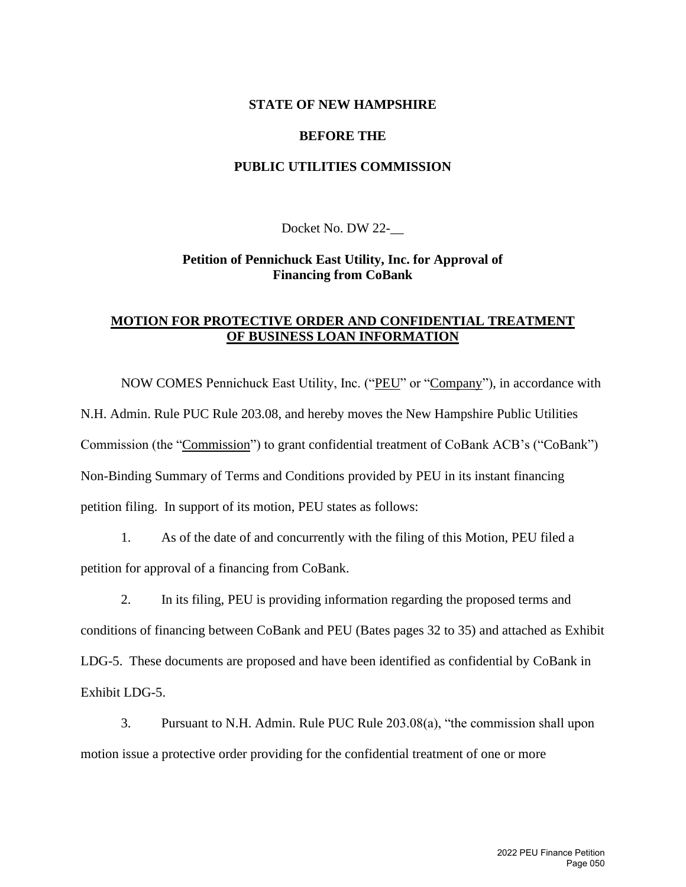#### **STATE OF NEW HAMPSHIRE**

#### **BEFORE THE**

## **PUBLIC UTILITIES COMMISSION**

Docket No. DW 22-\_\_

## **Petition of Pennichuck East Utility, Inc. for Approval of Financing from CoBank**

## **MOTION FOR PROTECTIVE ORDER AND CONFIDENTIAL TREATMENT OF BUSINESS LOAN INFORMATION**

NOW COMES Pennichuck East Utility, Inc. ("PEU" or "Company"), in accordance with N.H. Admin. Rule PUC Rule 203.08, and hereby moves the New Hampshire Public Utilities Commission (the "Commission") to grant confidential treatment of CoBank ACB's ("CoBank") Non-Binding Summary of Terms and Conditions provided by PEU in its instant financing petition filing. In support of its motion, PEU states as follows:

1. As of the date of and concurrently with the filing of this Motion, PEU filed a petition for approval of a financing from CoBank.

2. In its filing, PEU is providing information regarding the proposed terms and conditions of financing between CoBank and PEU (Bates pages 32 to 35) and attached as Exhibit LDG-5. These documents are proposed and have been identified as confidential by CoBank in Exhibit LDG-5.

3. Pursuant to N.H. Admin. Rule PUC Rule 203.08(a), "the commission shall upon motion issue a protective order providing for the confidential treatment of one or more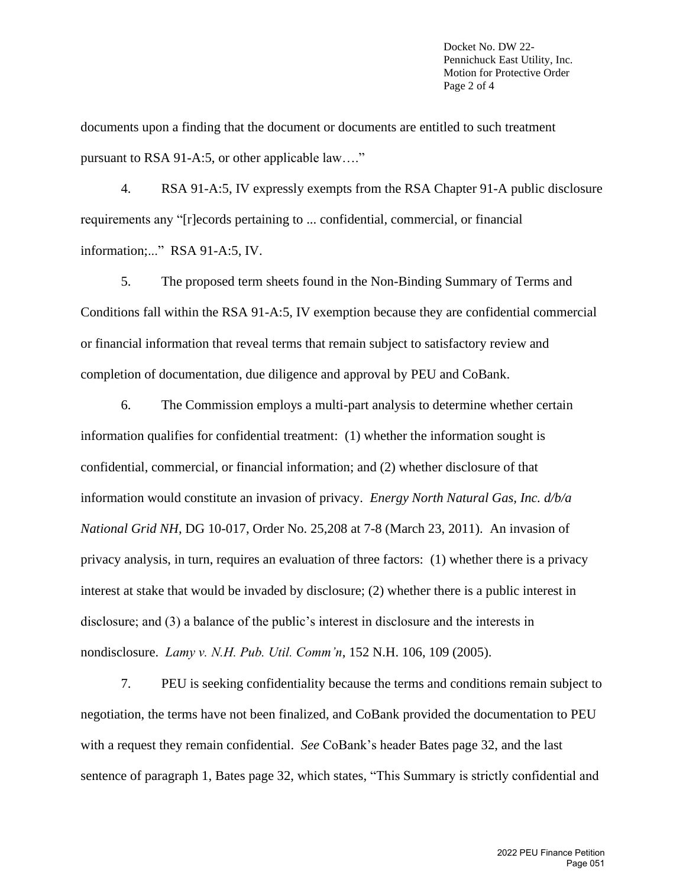Docket No. DW 22- Pennichuck East Utility, Inc. Motion for Protective Order Page 2 of 4

documents upon a finding that the document or documents are entitled to such treatment pursuant to RSA 91-A:5, or other applicable law…."

4. RSA 91-A:5, IV expressly exempts from the RSA Chapter 91-A public disclosure requirements any "[r]ecords pertaining to ... confidential, commercial, or financial information;..." RSA 91-A:5, IV.

5. The proposed term sheets found in the Non-Binding Summary of Terms and Conditions fall within the RSA 91-A:5, IV exemption because they are confidential commercial or financial information that reveal terms that remain subject to satisfactory review and completion of documentation, due diligence and approval by PEU and CoBank.

6. The Commission employs a multi-part analysis to determine whether certain information qualifies for confidential treatment: (1) whether the information sought is confidential, commercial, or financial information; and (2) whether disclosure of that information would constitute an invasion of privacy. *Energy North Natural Gas, Inc. d/b/a National Grid NH*, DG 10-017, Order No. 25,208 at 7-8 (March 23, 2011). An invasion of privacy analysis, in turn, requires an evaluation of three factors: (1) whether there is a privacy interest at stake that would be invaded by disclosure; (2) whether there is a public interest in disclosure; and (3) a balance of the public's interest in disclosure and the interests in nondisclosure. *Lamy v. N.H. Pub. Util. Comm'n*, 152 N.H. 106, 109 (2005).

7. PEU is seeking confidentiality because the terms and conditions remain subject to negotiation, the terms have not been finalized, and CoBank provided the documentation to PEU with a request they remain confidential. *See* CoBank's header Bates page 32, and the last sentence of paragraph 1, Bates page 32, which states, "This Summary is strictly confidential and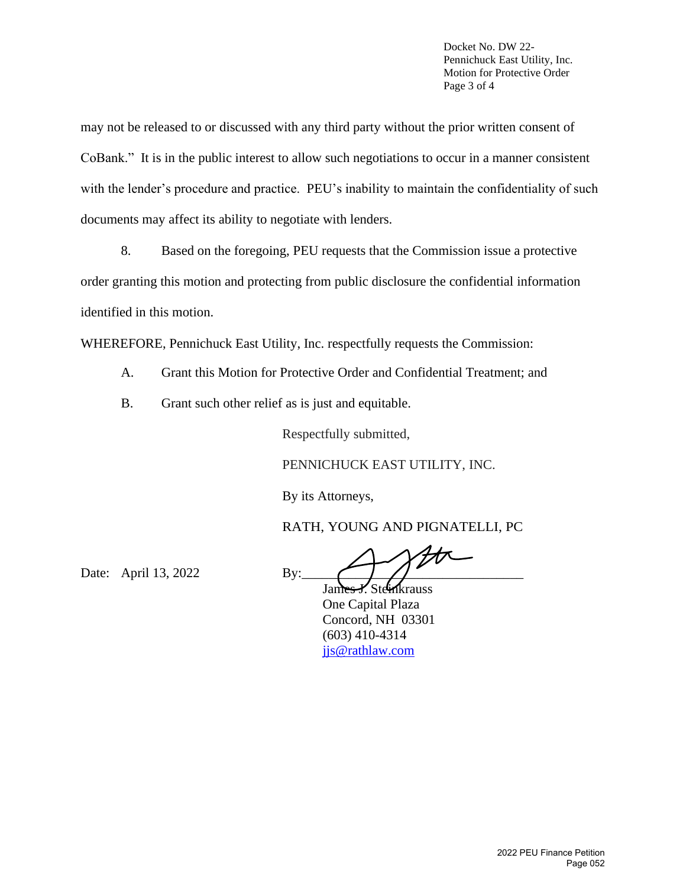Docket No. DW 22- Pennichuck East Utility, Inc. Motion for Protective Order Page 3 of 4

may not be released to or discussed with any third party without the prior written consent of CoBank." It is in the public interest to allow such negotiations to occur in a manner consistent with the lender's procedure and practice. PEU's inability to maintain the confidentiality of such documents may affect its ability to negotiate with lenders.

8. Based on the foregoing, PEU requests that the Commission issue a protective order granting this motion and protecting from public disclosure the confidential information identified in this motion.

WHEREFORE, Pennichuck East Utility, Inc. respectfully requests the Commission:

- A. Grant this Motion for Protective Order and Confidential Treatment; and
- B. Grant such other relief as is just and equitable.

Respectfully submitted,

PENNICHUCK EAST UTILITY, INC.

By its Attorneys,

RATH, YOUNG AND PIGNATELLI, PC

Date: April 13, 2022 By:

James J. Steinkrauss One Capital Plaza Concord, NH 03301 (603) 410-4314 [jjs@rathlaw.com](mailto:jjs@rathlaw.com)